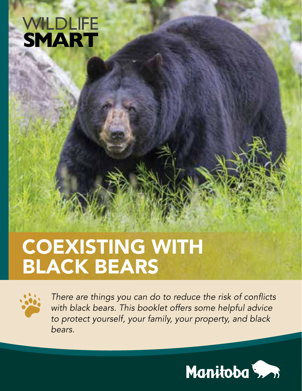## **WILDLIFE SMART**

## COEXISTING WITH BLACK BEARS



*There are things you can do to reduce the risk of conflicts with black bears. This booklet offers some helpful advice to protect yourself, your family, your property, and black bears.*

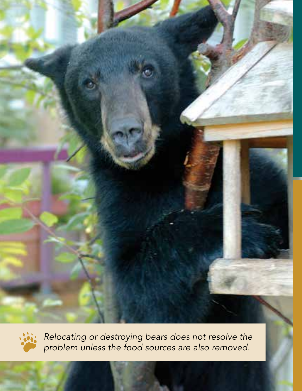



*Relocating or destroying bears does not resolve the problem unless the food sources are also removed.*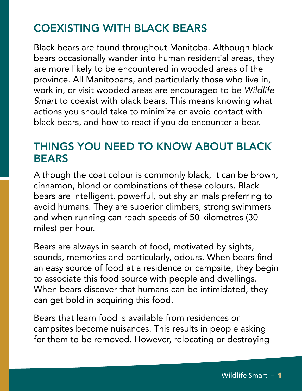#### COEXISTING WITH BLACK BEARS

Black bears are found throughout Manitoba. Although black bears occasionally wander into human residential areas, they are more likely to be encountered in wooded areas of the province. All Manitobans, and particularly those who live in, work in, or visit wooded areas are encouraged to be *Wildlife Smart* to coexist with black bears. This means knowing what actions you should take to minimize or avoid contact with black bears, and how to react if you do encounter a bear.

#### THINGS YOU NEED TO KNOW ABOUT BLACK **BEARS**

Although the coat colour is commonly black, it can be brown, cinnamon, blond or combinations of these colours. Black bears are intelligent, powerful, but shy animals preferring to avoid humans. They are superior climbers, strong swimmers and when running can reach speeds of 50 kilometres (30 miles) per hour.

Bears are always in search of food, motivated by sights, sounds, memories and particularly, odours. When bears find an easy source of food at a residence or campsite, they begin to associate this food source with people and dwellings. When bears discover that humans can be intimidated, they can get bold in acquiring this food.

Bears that learn food is available from residences or campsites become nuisances. This results in people asking for them to be removed. However, relocating or destroying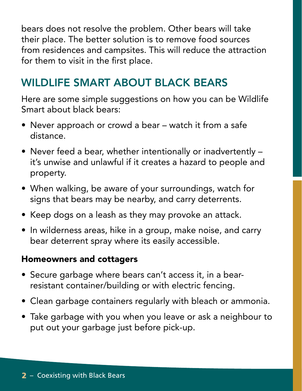bears does not resolve the problem. Other bears will take their place. The better solution is to remove food sources from residences and campsites. This will reduce the attraction for them to visit in the first place.

#### WILDLIFE SMART ABOUT BLACK BEARS

Here are some simple suggestions on how you can be Wildlife Smart about black bears:

- Never approach or crowd a bear watch it from a safe distance.
- Never feed a bear, whether intentionally or inadvertently it's unwise and unlawful if it creates a hazard to people and property.
- When walking, be aware of your surroundings, watch for signs that bears may be nearby, and carry deterrents.
- Keep dogs on a leash as they may provoke an attack.
- In wilderness areas, hike in a group, make noise, and carry bear deterrent spray where its easily accessible.

#### Homeowners and cottagers

- Secure garbage where bears can't access it, in a bearresistant container/building or with electric fencing.
- Clean garbage containers regularly with bleach or ammonia.
- Take garbage with you when you leave or ask a neighbour to put out your garbage just before pick-up.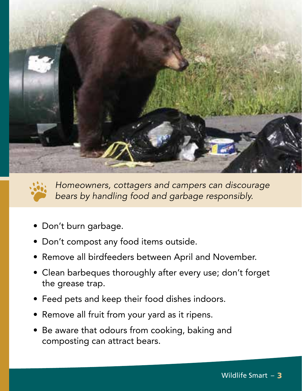



*Homeowners, cottagers and campers can discourage bears by handling food and garbage responsibly.*

- Don't burn garbage.
- Don't compost any food items outside.
- Remove all birdfeeders between April and November.
- Clean barbeques thoroughly after every use; don't forget the grease trap.
- Feed pets and keep their food dishes indoors.
- Remove all fruit from your yard as it ripens.
- Be aware that odours from cooking, baking and composting can attract bears.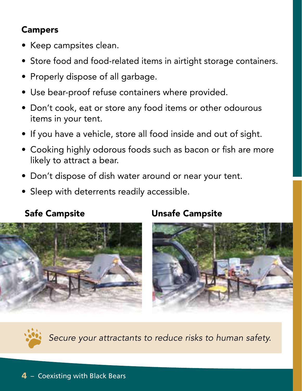#### Campers

- Keep campsites clean.
- Store food and food-related items in airtight storage containers.
- Properly dispose of all garbage.
- Use bear-proof refuse containers where provided.
- Don't cook, eat or store any food items or other odourous items in your tent.
- If you have a vehicle, store all food inside and out of sight.
- Cooking highly odorous foods such as bacon or fish are more likely to attract a bear.
- Don't dispose of dish water around or near your tent.
- Sleep with deterrents readily accessible.



#### Safe Campsite Unsafe Campsite





*Secure your attractants to reduce risks to human safety.*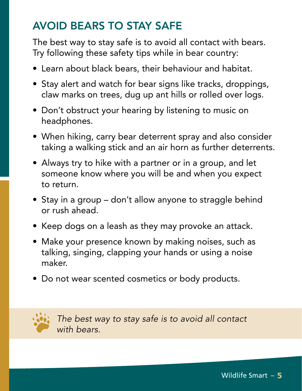#### AVOID BEARS TO STAY SAFE

The best way to stay safe is to avoid all contact with bears. Try following these safety tips while in bear country:

- Learn about black bears, their behaviour and habitat.
- Stay alert and watch for bear signs like tracks, droppings, claw marks on trees, dug up ant hills or rolled over logs.
- Don't obstruct your hearing by listening to music on headphones.
- When hiking, carry bear deterrent spray and also consider taking a walking stick and an air horn as further deterrents.
- Always try to hike with a partner or in a group, and let someone know where you will be and when you expect to return.
- Stay in a group don't allow anyone to straggle behind or rush ahead.
- Keep dogs on a leash as they may provoke an attack.
- Make your presence known by making noises, such as talking, singing, clapping your hands or using a noise maker.
- Do not wear scented cosmetics or body products.



*The best way to stay safe is to avoid all contact with bears.*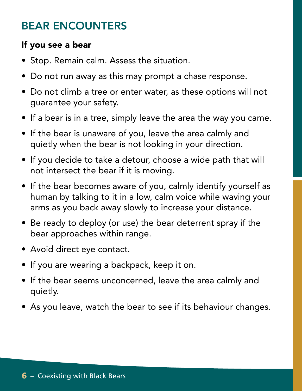#### BEAR ENCOUNTERS

#### If you see a bear

- Stop. Remain calm. Assess the situation.
- Do not run away as this may prompt a chase response.
- Do not climb a tree or enter water, as these options will not guarantee your safety.
- If a bear is in a tree, simply leave the area the way you came.
- If the bear is unaware of you, leave the area calmly and quietly when the bear is not looking in your direction.
- If you decide to take a detour, choose a wide path that will not intersect the bear if it is moving.
- If the bear becomes aware of you, calmly identify yourself as human by talking to it in a low, calm voice while waving your arms as you back away slowly to increase your distance.
- Be ready to deploy (or use) the bear deterrent spray if the bear approaches within range.
- Avoid direct eye contact.
- If you are wearing a backpack, keep it on.
- If the bear seems unconcerned, leave the area calmly and quietly.
- As you leave, watch the bear to see if its behaviour changes.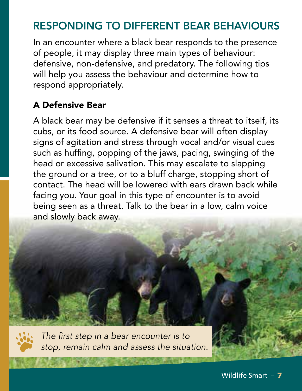#### RESPONDING TO DIFFERENT BEAR BEHAVIOURS

In an encounter where a black bear responds to the presence of people, it may display three main types of behaviour: defensive, non-defensive, and predatory. The following tips will help you assess the behaviour and determine how to respond appropriately.

#### A Defensive Bear

A black bear may be defensive if it senses a threat to itself, its cubs, or its food source. A defensive bear will often display signs of agitation and stress through vocal and/or visual cues such as huffing, popping of the jaws, pacing, swinging of the head or excessive salivation. This may escalate to slapping the ground or a tree, or to a bluff charge, stopping short of contact. The head will be lowered with ears drawn back while facing you. Your goal in this type of encounter is to avoid being seen as a threat. Talk to the bear in a low, calm voice and slowly back away.



*The first step in a bear encounter is to stop, remain calm and assess the situation.*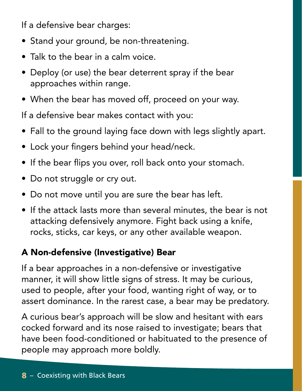If a defensive bear charges:

- Stand your ground, be non-threatening.
- Talk to the bear in a calm voice.
- Deploy (or use) the bear deterrent spray if the bear approaches within range.
- When the bear has moved off, proceed on your way.

If a defensive bear makes contact with you:

- Fall to the ground laying face down with legs slightly apart.
- Lock your fingers behind your head/neck.
- If the bear flips you over, roll back onto your stomach.
- Do not struggle or cry out.
- Do not move until you are sure the bear has left.
- If the attack lasts more than several minutes, the bear is not attacking defensively anymore. Fight back using a knife, rocks, sticks, car keys, or any other available weapon.

#### A Non-defensive (Investigative) Bear

If a bear approaches in a non-defensive or investigative manner, it will show little signs of stress. It may be curious, used to people, after your food, wanting right of way, or to assert dominance. In the rarest case, a bear may be predatory.

A curious bear's approach will be slow and hesitant with ears cocked forward and its nose raised to investigate; bears that have been food-conditioned or habituated to the presence of people may approach more boldly.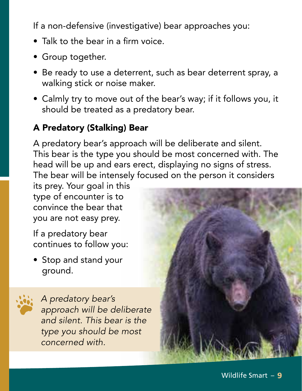If a non-defensive (investigative) bear approaches you:

- Talk to the bear in a firm voice.
- Group together.
- Be ready to use a deterrent, such as bear deterrent spray, a walking stick or noise maker.
- Calmly try to move out of the bear's way; if it follows you, it should be treated as a predatory bear.

#### A Predatory (Stalking) Bear

A predatory bear's approach will be deliberate and silent. This bear is the type you should be most concerned with. The head will be up and ears erect, displaying no signs of stress. The bear will be intensely focused on the person it considers

its prey. Your goal in this type of encounter is to convince the bear that you are not easy prey.

If a predatory bear continues to follow you:

• Stop and stand your ground.



*A predatory bear's approach will be deliberate and silent. This bear is the type you should be most concerned with.*

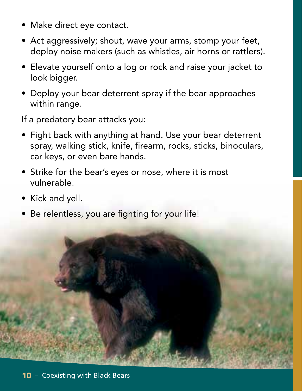- Make direct eye contact.
- Act aggressively; shout, wave your arms, stomp your feet, deploy noise makers (such as whistles, air horns or rattlers).
- Elevate yourself onto a log or rock and raise your jacket to look bigger.
- Deploy your bear deterrent spray if the bear approaches within range.

If a predatory bear attacks you:

- Fight back with anything at hand. Use your bear deterrent spray, walking stick, knife, firearm, rocks, sticks, binoculars, car keys, or even bare hands.
- Strike for the bear's eyes or nose, where it is most vulnerable.
- Kick and yell.
- Be relentless, you are fighting for your life!

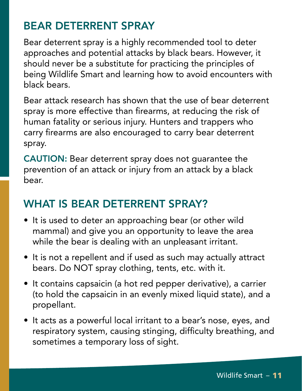#### BEAR DETERRENT SPRAY

Bear deterrent spray is a highly recommended tool to deter approaches and potential attacks by black bears. However, it should never be a substitute for practicing the principles of being Wildlife Smart and learning how to avoid encounters with black bears.

Bear attack research has shown that the use of bear deterrent spray is more effective than firearms, at reducing the risk of human fatality or serious injury. Hunters and trappers who carry firearms are also encouraged to carry bear deterrent spray.

CAUTION: Bear deterrent spray does not guarantee the prevention of an attack or injury from an attack by a black bear.

#### WHAT IS REAR DETERRENT SPRAY?

- It is used to deter an approaching bear (or other wild mammal) and give you an opportunity to leave the area while the bear is dealing with an unpleasant irritant.
- It is not a repellent and if used as such may actually attract bears. Do NOT spray clothing, tents, etc. with it.
- It contains capsaicin (a hot red pepper derivative), a carrier (to hold the capsaicin in an evenly mixed liquid state), and a propellant.
- It acts as a powerful local irritant to a bear's nose, eyes, and respiratory system, causing stinging, difficulty breathing, and sometimes a temporary loss of sight.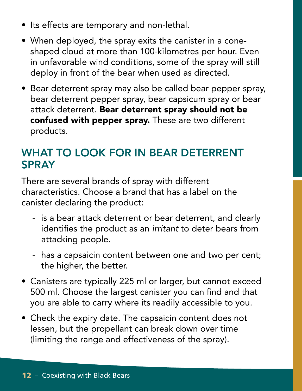- Its effects are temporary and non-lethal.
- When deployed, the spray exits the canister in a coneshaped cloud at more than 100-kilometres per hour. Even in unfavorable wind conditions, some of the spray will still deploy in front of the bear when used as directed.
- Bear deterrent spray may also be called bear pepper spray, bear deterrent pepper spray, bear capsicum spray or bear attack deterrent. Bear deterrent spray should not be confused with pepper spray. These are two different products.

#### WHAT TO LOOK FOR IN BEAR DETERRENT **SPRAY**

There are several brands of spray with different characteristics. Choose a brand that has a label on the canister declaring the product:

- is a bear attack deterrent or bear deterrent, and clearly identifies the product as an *irritant* to deter bears from attacking people.
- has a capsaicin content between one and two per cent; the higher, the better.
- Canisters are typically 225 ml or larger, but cannot exceed 500 ml. Choose the largest canister you can find and that you are able to carry where its readily accessible to you.
- Check the expiry date. The capsaicin content does not lessen, but the propellant can break down over time (limiting the range and effectiveness of the spray).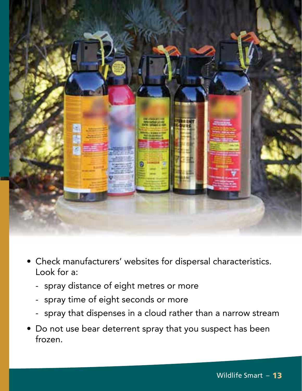

- Check manufacturers' websites for dispersal characteristics. Look for a:
	- spray distance of eight metres or more
	- spray time of eight seconds or more
	- spray that dispenses in a cloud rather than a narrow stream
- Do not use bear deterrent spray that you suspect has been frozen.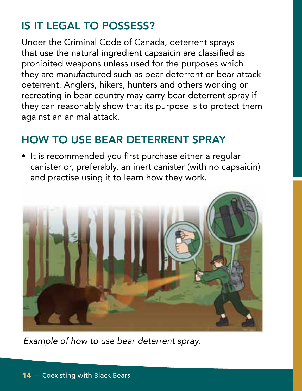### IS IT LEGAL TO POSSESS?

Under the Criminal Code of Canada, deterrent sprays that use the natural ingredient capsaicin are classified as prohibited weapons unless used for the purposes which they are manufactured such as bear deterrent or bear attack deterrent. Anglers, hikers, hunters and others working or recreating in bear country may carry bear deterrent spray if they can reasonably show that its purpose is to protect them against an animal attack.

#### HOW TO USE BEAR DETERRENT SPRAY

• It is recommended you first purchase either a regular canister or, preferably, an inert canister (with no capsaicin) and practise using it to learn how they work.



*Example of how to use bear deterrent spray.*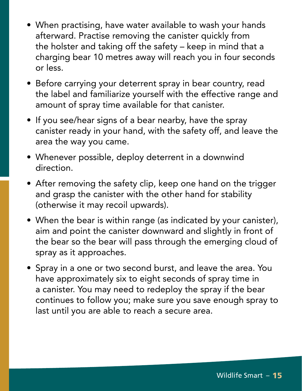- When practising, have water available to wash your hands afterward. Practise removing the canister quickly from the holster and taking off the safety – keep in mind that a charging bear 10 metres away will reach you in four seconds or less.
- Before carrying your deterrent spray in bear country, read the label and familiarize yourself with the effective range and amount of spray time available for that canister.
- If you see/hear signs of a bear nearby, have the spray canister ready in your hand, with the safety off, and leave the area the way you came.
- Whenever possible, deploy deterrent in a downwind direction.
- After removing the safety clip, keep one hand on the trigger and grasp the canister with the other hand for stability (otherwise it may recoil upwards).
- When the bear is within range (as indicated by your canister), aim and point the canister downward and slightly in front of the bear so the bear will pass through the emerging cloud of spray as it approaches.
- Spray in a one or two second burst, and leave the area. You have approximately six to eight seconds of spray time in a canister. You may need to redeploy the spray if the bear continues to follow you; make sure you save enough spray to last until you are able to reach a secure area.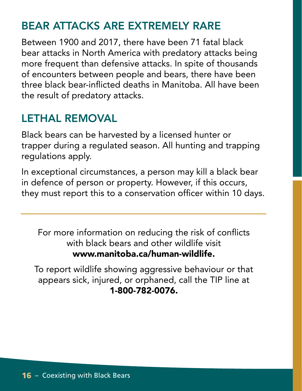#### BEAR ATTACKS ARE EXTREMELY RARE

Between 1900 and 2017, there have been 71 fatal black bear attacks in North America with predatory attacks being more frequent than defensive attacks. In spite of thousands of encounters between people and bears, there have been three black bear-inflicted deaths in Manitoba. All have been the result of predatory attacks.

#### LETHAL REMOVAL

Black bears can be harvested by a licensed hunter or trapper during a regulated season. All hunting and trapping regulations apply.

In exceptional circumstances, a person may kill a black bear in defence of person or property. However, if this occurs, they must report this to a conservation officer within 10 days.

For more information on reducing the risk of conflicts with black bears and other wildlife visit www.manitoba.ca/human-wildlife.

To report wildlife showing aggressive behaviour or that appears sick, injured, or orphaned, call the TIP line at 1-800-782-0076.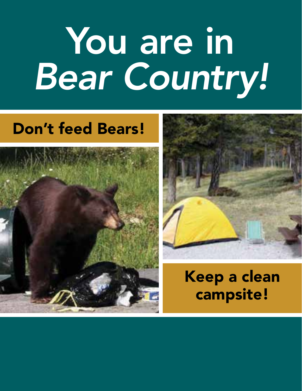# You are in *Bear Country!*

## Don't feed Bears!





Keep a clean campsite!